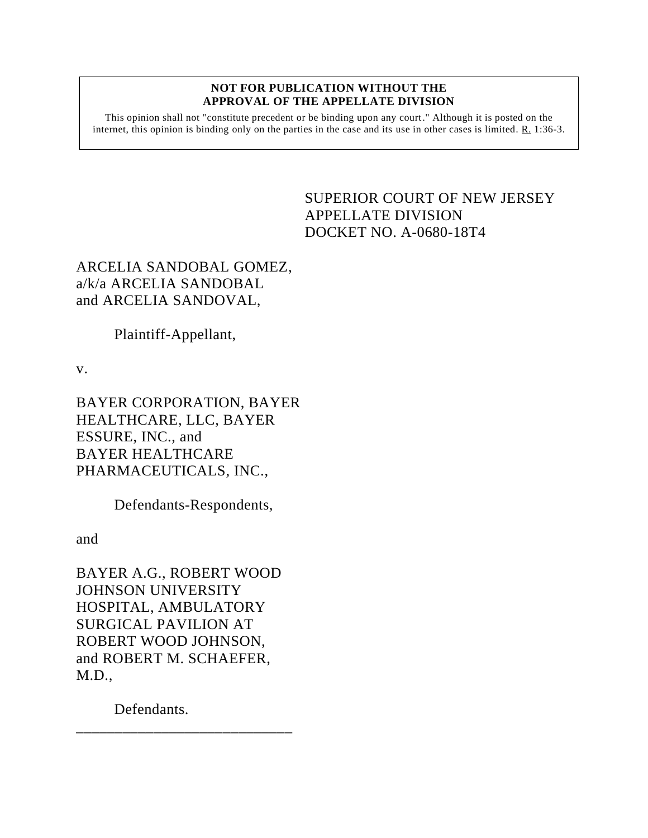#### **NOT FOR PUBLICATION WITHOUT THE APPROVAL OF THE APPELLATE DIVISION**

This opinion shall not "constitute precedent or be binding upon any court." Although it is posted on the internet, this opinion is binding only on the parties in the case and its use in other cases is limited. R. 1:36-3.

# <span id="page-0-0"></span>SUPERIOR COURT OF NEW JERSEY APPELLATE DIVISION DOCKET NO. A-0680-18T4

ARCELIA SANDOBAL GOMEZ, a/k/a ARCELIA SANDOBAL and ARCELIA SANDOVAL,

Plaintiff-Appellant,

v.

BAYER CORPORATION, BAYER HEALTHCARE, LLC, BAYER ESSURE, INC., and BAYER HEALTHCARE PHARMACEUTICALS, INC.,

Defendants-Respondents,

and

BAYER A.G., ROBERT WOOD JOHNSON UNIVERSITY HOSPITAL, AMBULATORY SURGICAL PAVILION AT ROBERT WOOD JOHNSON, and ROBERT M. SCHAEFER, M.D.,

\_\_\_\_\_\_\_\_\_\_\_\_\_\_\_\_\_\_\_\_\_\_\_\_\_\_\_\_

Defendants.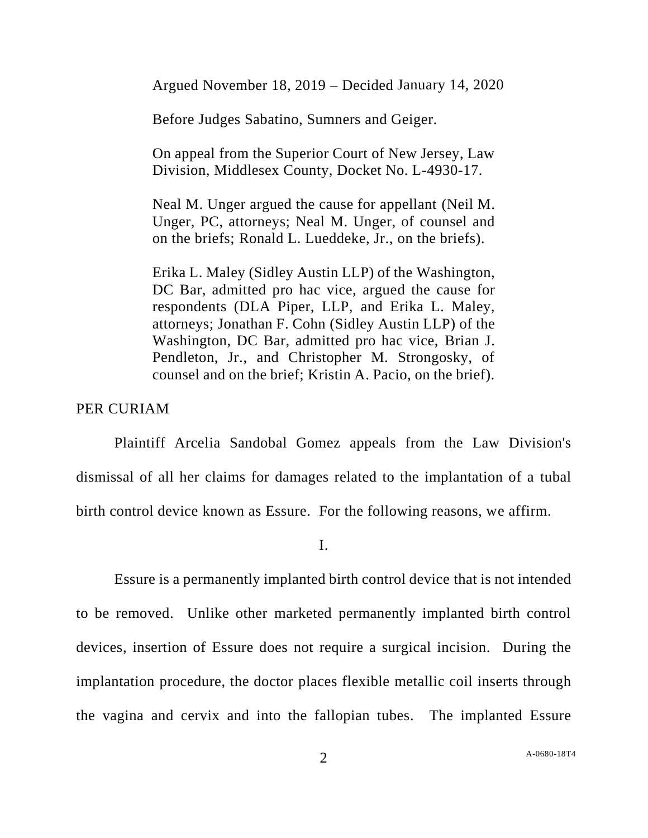Argued November 18, 2019 – Decided January 14, 2020

Before Judges Sabatino, Sumners and Geiger.

On appeal from the Superior Court of New Jersey, Law Division, Middlesex County, Docket No. L-4930-17.

Neal M. Unger argued the cause for appellant (Neil M. Unger, PC, attorneys; Neal M. Unger, of counsel and on the briefs; Ronald L. Lueddeke, Jr., on the briefs).

Erika L. Maley (Sidley Austin LLP) of the Washington, DC Bar, admitted pro hac vice, argued the cause for respondents (DLA Piper, LLP, and Erika L. Maley, attorneys; Jonathan F. Cohn (Sidley Austin LLP) of the Washington, DC Bar, admitted pro hac vice, Brian J. Pendleton, Jr., and Christopher M. Strongosky, of counsel and on the brief; Kristin A. Pacio, on the brief).

## PER CURIAM

Plaintiff Arcelia Sandobal Gomez appeals from the Law Division's dismissal of all her claims for damages related to the implantation of a tubal birth control device known as Essure. For the following reasons, we affirm.

I.

Essure is a permanently implanted birth control device that is not intended to be removed. Unlike other marketed permanently implanted birth control devices, insertion of Essure does not require a surgical incision. During the implantation procedure, the doctor places flexible metallic coil inserts through the vagina and cervix and into the fallopian tubes. The implanted Essure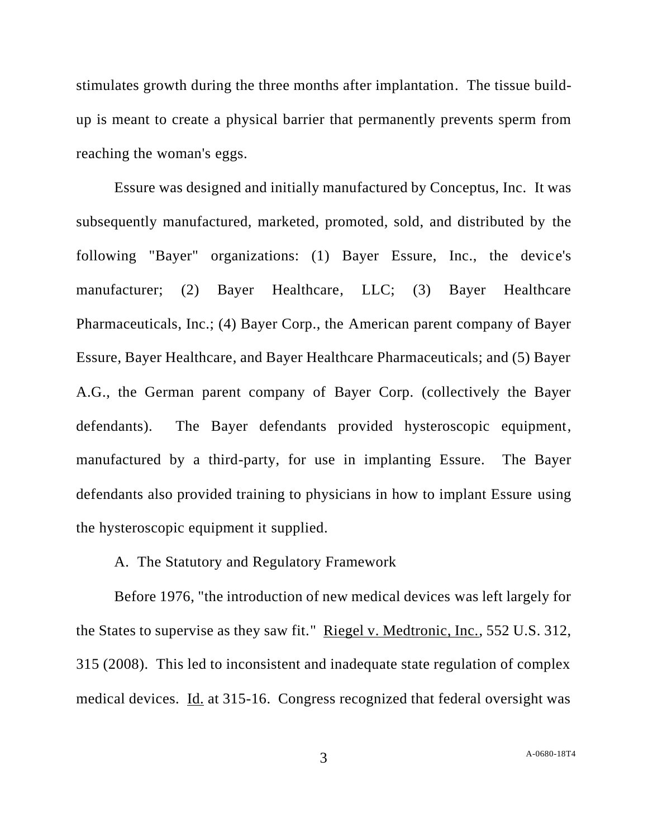stimulates growth during the three months after implantation. The tissue buildup is meant to create a physical barrier that permanently prevents sperm from reaching the woman's eggs.

Essure was designed and initially manufactured by Conceptus, Inc. It was subsequently manufactured, marketed, promoted, sold, and distributed by the following "Bayer" organizations: (1) Bayer Essure, Inc., the device's manufacturer; (2) Bayer Healthcare, LLC; (3) Bayer Healthcare Pharmaceuticals, Inc.; (4) Bayer Corp., the American parent company of Bayer Essure, Bayer Healthcare, and Bayer Healthcare Pharmaceuticals; and (5) Bayer A.G., the German parent company of Bayer Corp. (collectively the Bayer defendants). The Bayer defendants provided hysteroscopic equipment, manufactured by a third-party, for use in implanting Essure. The Bayer defendants also provided training to physicians in how to implant Essure using the hysteroscopic equipment it supplied.

A. The Statutory and Regulatory Framework

Before 1976, "the introduction of new medical devices was left largely for the States to supervise as they saw fit." Riegel v. Medtronic, Inc., 552 U.S. 312, 315 (2008). This led to inconsistent and inadequate state regulation of complex medical devices. Id. at 315-16. Congress recognized that federal oversight was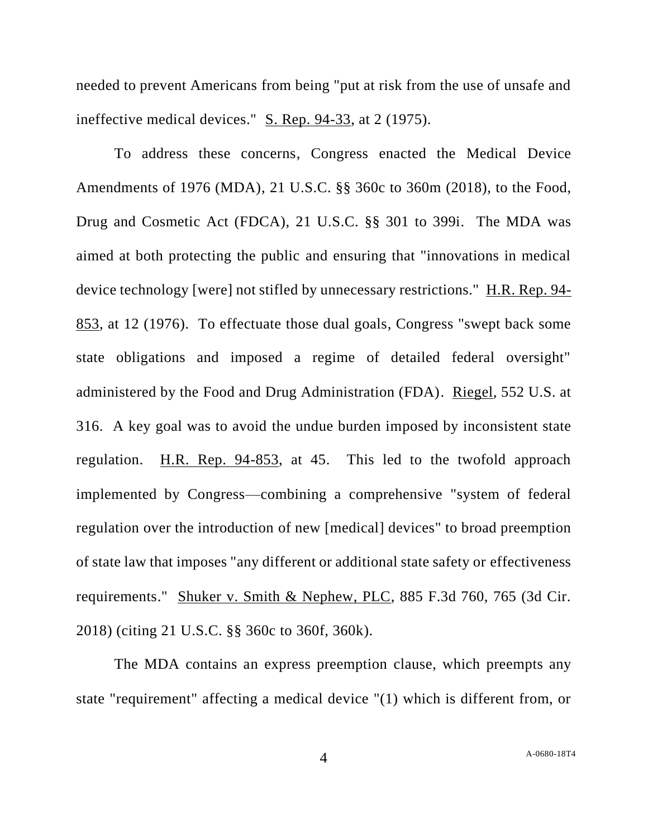needed to prevent Americans from being "put at risk from the use of unsafe and ineffective medical devices." S. Rep. 94-33, at 2 (1975).

To address these concerns, Congress enacted the Medical Device Amendments of 1976 (MDA), 21 U.S.C. §§ 360c to 360m (2018), to the Food, Drug and Cosmetic Act (FDCA), 21 U.S.C. §§ 301 to 399i. The MDA was aimed at both protecting the public and ensuring that "innovations in medical device technology [were] not stifled by unnecessary restrictions." H.R. Rep. 94- 853, at 12 (1976). To effectuate those dual goals, Congress "swept back some state obligations and imposed a regime of detailed federal oversight" administered by the Food and Drug Administration (FDA). Riegel, 552 U.S. at 316. A key goal was to avoid the undue burden imposed by inconsistent state regulation. H.R. Rep. 94-853, at 45. This led to the twofold approach implemented by Congress—combining a comprehensive "system of federal regulation over the introduction of new [medical] devices" to broad preemption of state law that imposes "any different or additional state safety or effectiveness requirements." Shuker v. Smith & Nephew, PLC, 885 F.3d 760, 765 (3d Cir. 2018) (citing 21 U.S.C. §§ 360c to 360f, 360k).

The MDA contains an express preemption clause, which preempts any state "requirement" affecting a medical device "(1) which is different from, or

4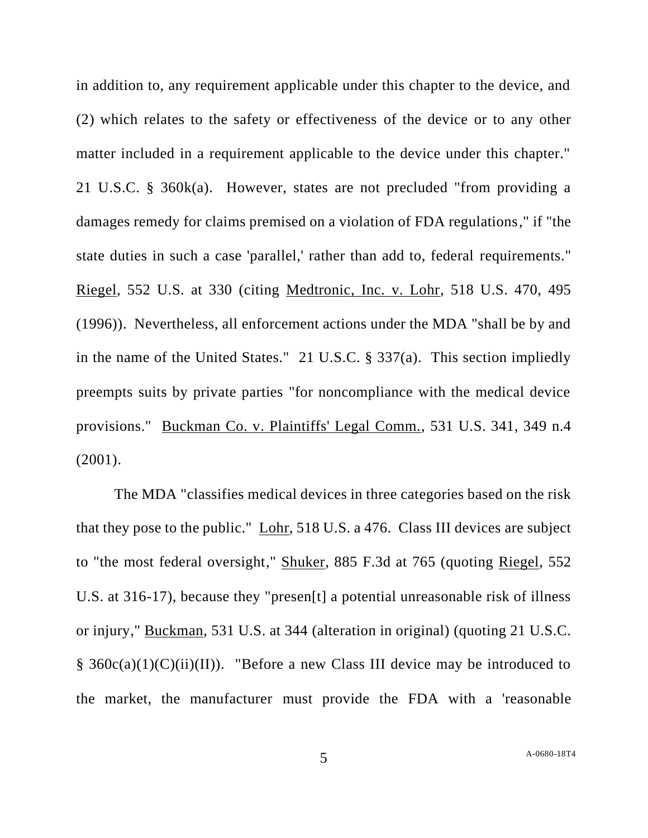in addition to, any requirement applicable under this chapter to the device, and (2) which relates to the safety or effectiveness of the device or to any other matter included in a requirement applicable to the device under this chapter." 21 U.S.C. § 360k(a). However, states are not precluded "from providing a damages remedy for claims premised on a violation of FDA regulations," if "the state duties in such a case 'parallel,' rather than add to, federal requirements." Riegel, 552 U.S. at 330 (citing Medtronic, Inc. v. Lohr, 518 U.S. 470, 495 (1996)). Nevertheless, all enforcement actions under the MDA "shall be by and in the name of the United States." 21 U.S.C. § 337(a). This section impliedly preempts suits by private parties "for noncompliance with the medical device provisions." Buckman Co. v. Plaintiffs' Legal Comm., 531 U.S. 341, 349 n.4 (2001).

The MDA "classifies medical devices in three categories based on the risk that they pose to the public." Lohr, 518 U.S. a 476. Class III devices are subject to "the most federal oversight," Shuker, 885 F.3d at 765 (quoting Riegel, 552 U.S. at 316-17), because they "presen[t] a potential unreasonable risk of illness or injury," Buckman, 531 U.S. at 344 (alteration in original) (quoting 21 U.S.C. §  $360c(a)(1)(C)(ii)(II)$ . "Before a new Class III device may be introduced to the market, the manufacturer must provide the FDA with a 'reasonable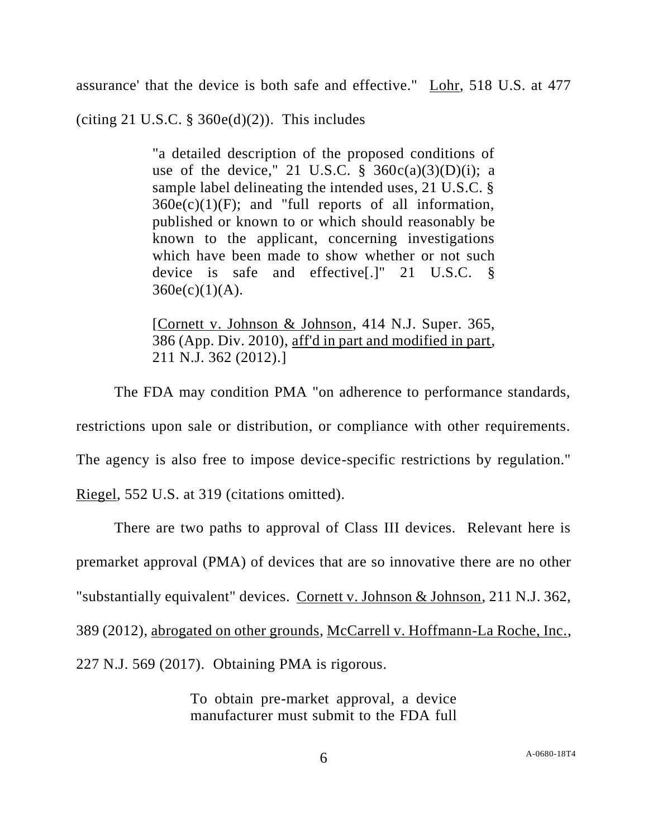assurance' that the device is both safe and effective." Lohr, 518 U.S. at 477

(citing 21 U.S.C.  $\S$  360e(d)(2)). This includes

"a detailed description of the proposed conditions of use of the device," 21 U.S.C.  $\S$  360c(a)(3)(D)(i); a sample label delineating the intended uses, 21 U.S.C. §  $360e(c)(1)(F)$ ; and "full reports of all information, published or known to or which should reasonably be known to the applicant, concerning investigations which have been made to show whether or not such device is safe and effective[.]" 21 U.S.C. §  $360e(c)(1)(A)$ .

[Cornett v. Johnson & Johnson, 414 N.J. Super. 365, 386 (App. Div. 2010), aff'd in part and modified in part, 211 N.J. 362 (2012).]

The FDA may condition PMA "on adherence to performance standards,

restrictions upon sale or distribution, or compliance with other requirements.

The agency is also free to impose device-specific restrictions by regulation."

Riegel, 552 U.S. at 319 (citations omitted).

There are two paths to approval of Class III devices. Relevant here is premarket approval (PMA) of devices that are so innovative there are no other "substantially equivalent" devices. Cornett v. Johnson & Johnson, 211 N.J. 362, 389 (2012), abrogated on other grounds, McCarrell v. Hoffmann-La Roche, Inc., 227 N.J. 569 (2017). Obtaining PMA is rigorous.

> To obtain pre-market approval, a device manufacturer must submit to the FDA full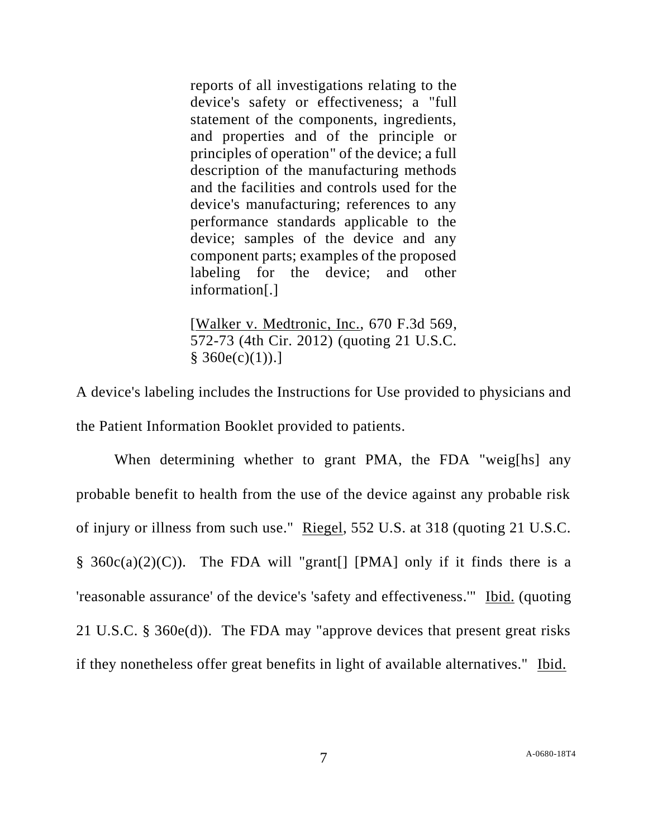reports of all investigations relating to the device's safety or effectiveness; a "full statement of the components, ingredients, and properties and of the principle or principles of operation" of the device; a full description of the manufacturing methods and the facilities and controls used for the device's manufacturing; references to any performance standards applicable to the device; samples of the device and any component parts; examples of the proposed labeling for the device; and other information[.]

[Walker v. Medtronic, Inc., 670 F.3d 569, 572-73 (4th Cir. 2012) (quoting 21 U.S.C.  $§ 360e(c)(1))$ .]

A device's labeling includes the Instructions for Use provided to physicians and the Patient Information Booklet provided to patients.

When determining whether to grant PMA, the FDA "weig[hs] any probable benefit to health from the use of the device against any probable risk of injury or illness from such use." Riegel, 552 U.S. at 318 (quoting 21 U.S.C. § 360 $c(a)(2)(C)$ ). The FDA will "grant[] [PMA] only if it finds there is a 'reasonable assurance' of the device's 'safety and effectiveness.'" Ibid. (quoting 21 U.S.C. § 360e(d)). The FDA may "approve devices that present great risks if they nonetheless offer great benefits in light of available alternatives." Ibid.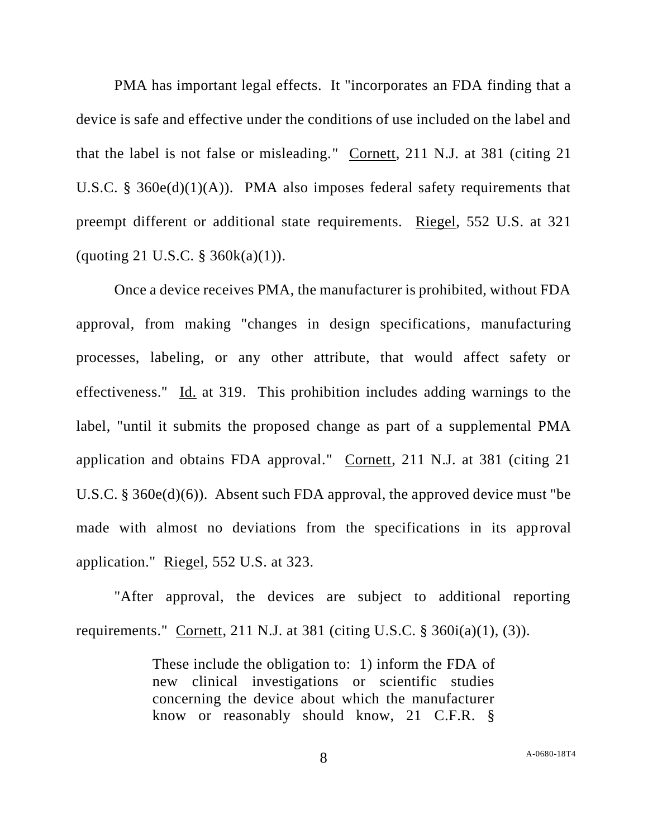PMA has important legal effects. It "incorporates an FDA finding that a device is safe and effective under the conditions of use included on the label and that the label is not false or misleading." Cornett, 211 N.J. at 381 (citing 21 U.S.C. § 360 $e(d)(1)(A)$ ). PMA also imposes federal safety requirements that preempt different or additional state requirements. Riegel, 552 U.S. at 321 (quoting 21 U.S.C.  $\S$  360 $k(a)(1)$ ).

Once a device receives PMA, the manufacturer is prohibited, without FDA approval, from making "changes in design specifications, manufacturing processes, labeling, or any other attribute, that would affect safety or effectiveness." Id. at 319. This prohibition includes adding warnings to the label, "until it submits the proposed change as part of a supplemental PMA application and obtains FDA approval." Cornett, 211 N.J. at 381 (citing 21 U.S.C. § 360e(d)(6)). Absent such FDA approval, the approved device must "be made with almost no deviations from the specifications in its approval application." Riegel, 552 U.S. at 323.

"After approval, the devices are subject to additional reporting requirements." Cornett, 211 N.J. at 381 (citing U.S.C.  $\S$  360i(a)(1), (3)).

> These include the obligation to: 1) inform the FDA of new clinical investigations or scientific studies concerning the device about which the manufacturer know or reasonably should know, 21 C.F.R. §

8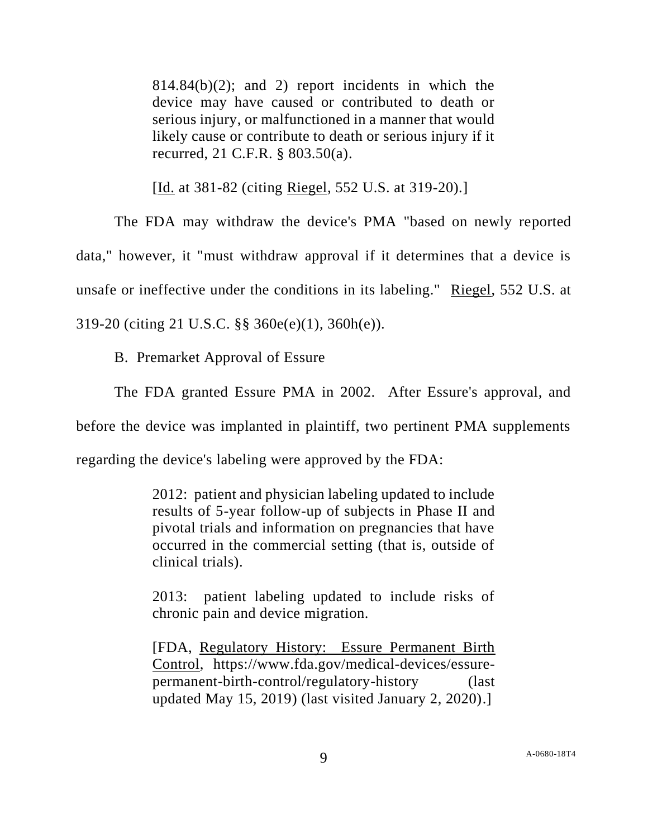$814.84(b)(2)$ ; and 2) report incidents in which the device may have caused or contributed to death or serious injury, or malfunctioned in a manner that would likely cause or contribute to death or serious injury if it recurred, 21 C.F.R. § 803.50(a).

[Id. at 381-82 (citing Riegel, 552 U.S. at 319-20).]

The FDA may withdraw the device's PMA "based on newly reported data," however, it "must withdraw approval if it determines that a device is unsafe or ineffective under the conditions in its labeling." Riegel, 552 U.S. at 319-20 (citing 21 U.S.C. §§ 360e(e)(1), 360h(e)).

B. Premarket Approval of Essure

The FDA granted Essure PMA in 2002. After Essure's approval, and

before the device was implanted in plaintiff, two pertinent PMA supplements

regarding the device's labeling were approved by the FDA:

2012: patient and physician labeling updated to include results of 5-year follow-up of subjects in Phase II and pivotal trials and information on pregnancies that have occurred in the commercial setting (that is, outside of clinical trials).

2013: patient labeling updated to include risks of chronic pain and device migration.

[FDA, Regulatory History: Essure Permanent Birth Control, https://www.fda.gov/medical-devices/essurepermanent-birth-control/regulatory-history (last updated May 15, 2019) (last visited January 2, 2020).]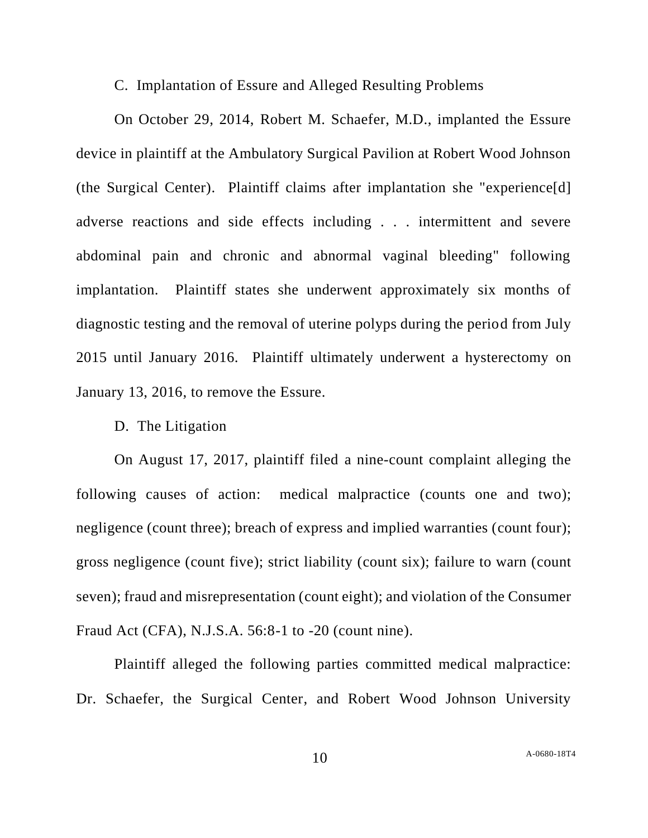C. Implantation of Essure and Alleged Resulting Problems

On October 29, 2014, Robert M. Schaefer, M.D., implanted the Essure device in plaintiff at the Ambulatory Surgical Pavilion at Robert Wood Johnson (the Surgical Center). Plaintiff claims after implantation she "experience[d] adverse reactions and side effects including . . . intermittent and severe abdominal pain and chronic and abnormal vaginal bleeding" following implantation. Plaintiff states she underwent approximately six months of diagnostic testing and the removal of uterine polyps during the period from July 2015 until January 2016. Plaintiff ultimately underwent a hysterectomy on January 13, 2016, to remove the Essure.

### D. The Litigation

On August 17, 2017, plaintiff filed a nine-count complaint alleging the following causes of action: medical malpractice (counts one and two); negligence (count three); breach of express and implied warranties (count four); gross negligence (count five); strict liability (count six); failure to warn (count seven); fraud and misrepresentation (count eight); and violation of the Consumer Fraud Act (CFA), N.J.S.A. 56:8-1 to -20 (count nine).

Plaintiff alleged the following parties committed medical malpractice: Dr. Schaefer, the Surgical Center, and Robert Wood Johnson University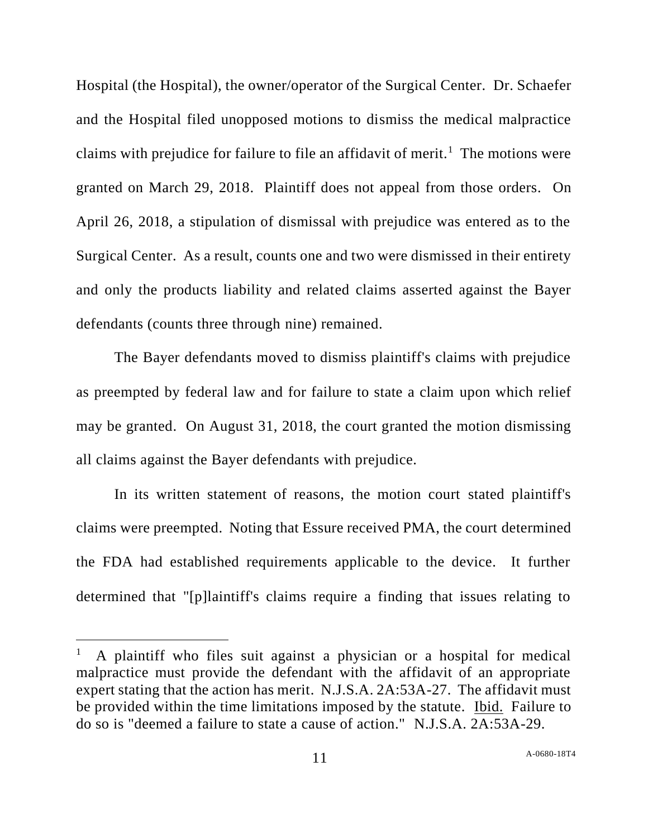Hospital (the Hospital), the owner/operator of the Surgical Center. Dr. Schaefer and the Hospital filed unopposed motions to dismiss the medical malpractice claims with prejudice for failure to file an affidavit of merit.<sup>1</sup> The motions were granted on March 29, 2018. Plaintiff does not appeal from those orders. On April 26, 2018, a stipulation of dismissal with prejudice was entered as to the Surgical Center. As a result, counts one and two were dismissed in their entirety and only the products liability and related claims asserted against the Bayer defendants (counts three through nine) remained.

The Bayer defendants moved to dismiss plaintiff's claims with prejudice as preempted by federal law and for failure to state a claim upon which relief may be granted. On August 31, 2018, the court granted the motion dismissing all claims against the Bayer defendants with prejudice.

In its written statement of reasons, the motion court stated plaintiff's claims were preempted. Noting that Essure received PMA, the court determined the FDA had established requirements applicable to the device. It further determined that "[p]laintiff's claims require a finding that issues relating to

<sup>1</sup> A plaintiff who files suit against a physician or a hospital for medical malpractice must provide the defendant with the affidavit of an appropriate expert stating that the action has merit. N.J.S.A. 2A:53A-27. The affidavit must be provided within the time limitations imposed by the statute. Ibid. Failure to do so is "deemed a failure to state a cause of action." N.J.S.A. 2A:53A-29.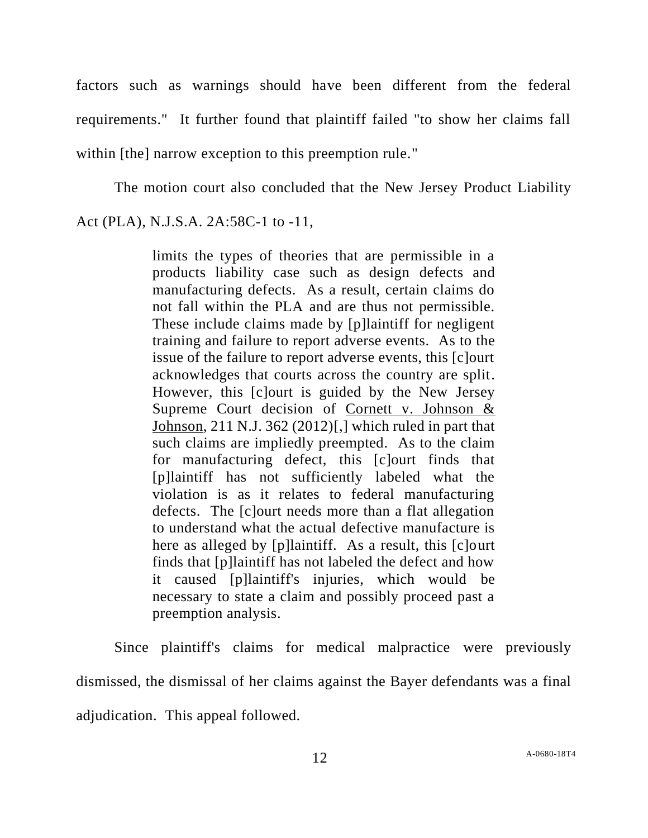factors such as warnings should have been different from the federal requirements." It further found that plaintiff failed "to show her claims fall within [the] narrow exception to this preemption rule."

The motion court also concluded that the New Jersey Product Liability Act (PLA), N.J.S.A. 2A:58C-1 to -11,

> limits the types of theories that are permissible in a products liability case such as design defects and manufacturing defects. As a result, certain claims do not fall within the PLA and are thus not permissible. These include claims made by [p]laintiff for negligent training and failure to report adverse events. As to the issue of the failure to report adverse events, this [c]ourt acknowledges that courts across the country are split. However, this [c]ourt is guided by the New Jersey Supreme Court decision of Cornett v. Johnson & Johnson, 211 N.J. 362 (2012)[,] which ruled in part that such claims are impliedly preempted. As to the claim for manufacturing defect, this [c]ourt finds that [p]laintiff has not sufficiently labeled what the violation is as it relates to federal manufacturing defects. The [c]ourt needs more than a flat allegation to understand what the actual defective manufacture is here as alleged by [p]laintiff. As a result, this [c]ourt finds that [p]laintiff has not labeled the defect and how it caused [p]laintiff's injuries, which would be necessary to state a claim and possibly proceed past a preemption analysis.

Since plaintiff's claims for medical malpractice were previously dismissed, the dismissal of her claims against the Bayer defendants was a final adjudication. This appeal followed.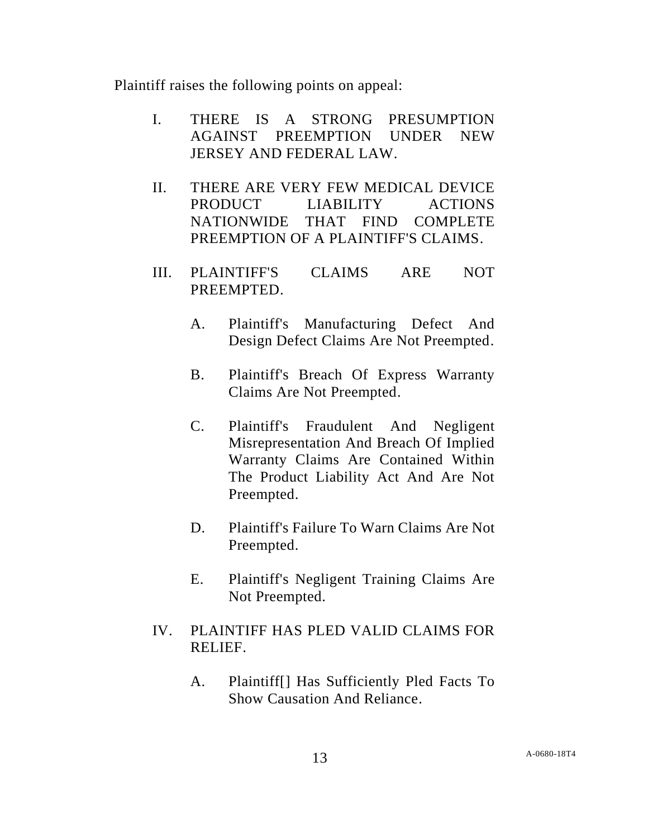Plaintiff raises the following points on appeal:

- I. THERE IS A STRONG PRESUMPTION AGAINST PREEMPTION UNDER NEW JERSEY AND FEDERAL LAW.
- II. THERE ARE VERY FEW MEDICAL DEVICE PRODUCT LIABILITY ACTIONS NATIONWIDE THAT FIND COMPLETE PREEMPTION OF A PLAINTIFF'S CLAIMS.
- III. PLAINTIFF'S CLAIMS ARE NOT PREEMPTED.
	- A. Plaintiff's Manufacturing Defect And Design Defect Claims Are Not Preempted.
	- B. Plaintiff's Breach Of Express Warranty Claims Are Not Preempted.
	- C. Plaintiff's Fraudulent And Negligent Misrepresentation And Breach Of Implied Warranty Claims Are Contained Within The Product Liability Act And Are Not Preempted.
	- D. Plaintiff's Failure To Warn Claims Are Not Preempted.
	- E. Plaintiff's Negligent Training Claims Are Not Preempted.
- IV. PLAINTIFF HAS PLED VALID CLAIMS FOR RELIEF.
	- A. Plaintiff[] Has Sufficiently Pled Facts To Show Causation And Reliance.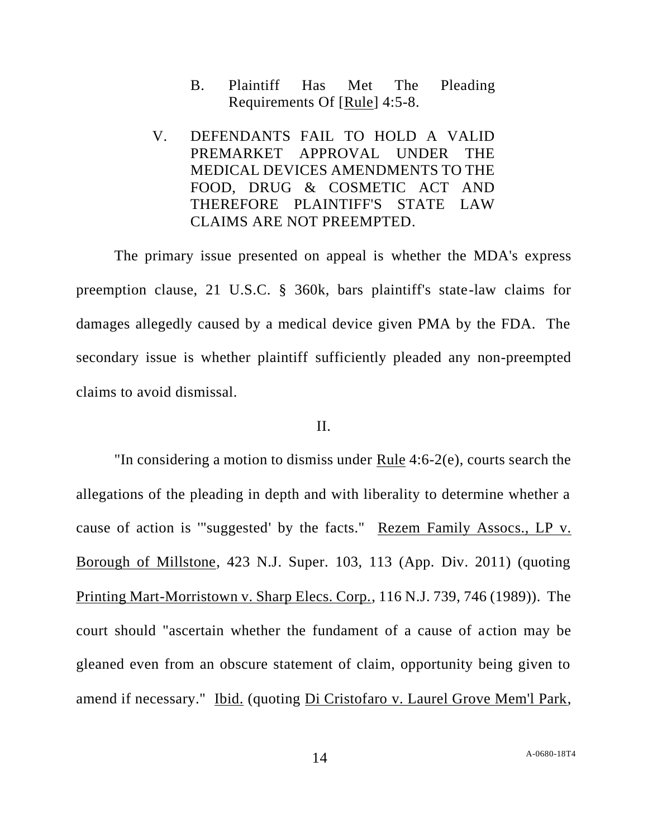- B. Plaintiff Has Met The Pleading Requirements Of [Rule] 4:5-8.
- V. DEFENDANTS FAIL TO HOLD A VALID PREMARKET APPROVAL UNDER THE MEDICAL DEVICES AMENDMENTS TO THE FOOD, DRUG & COSMETIC ACT AND THEREFORE PLAINTIFF'S STATE LAW CLAIMS ARE NOT PREEMPTED.

The primary issue presented on appeal is whether the MDA's express preemption clause, 21 U.S.C. § 360k, bars plaintiff's state-law claims for damages allegedly caused by a medical device given PMA by the FDA. The secondary issue is whether plaintiff sufficiently pleaded any non-preempted claims to avoid dismissal.

### II.

"In considering a motion to dismiss under Rule 4:6-2(e), courts search the allegations of the pleading in depth and with liberality to determine whether a cause of action is '"suggested' by the facts." Rezem Family Assocs., LP v. Borough of Millstone, 423 N.J. Super. 103, 113 (App. Div. 2011) (quoting Printing Mart-Morristown v. Sharp Elecs. Corp., 116 N.J. 739, 746 (1989)). The court should "ascertain whether the fundament of a cause of action may be gleaned even from an obscure statement of claim, opportunity being given to amend if necessary." Ibid. (quoting Di Cristofaro v. Laurel Grove Mem'l Park,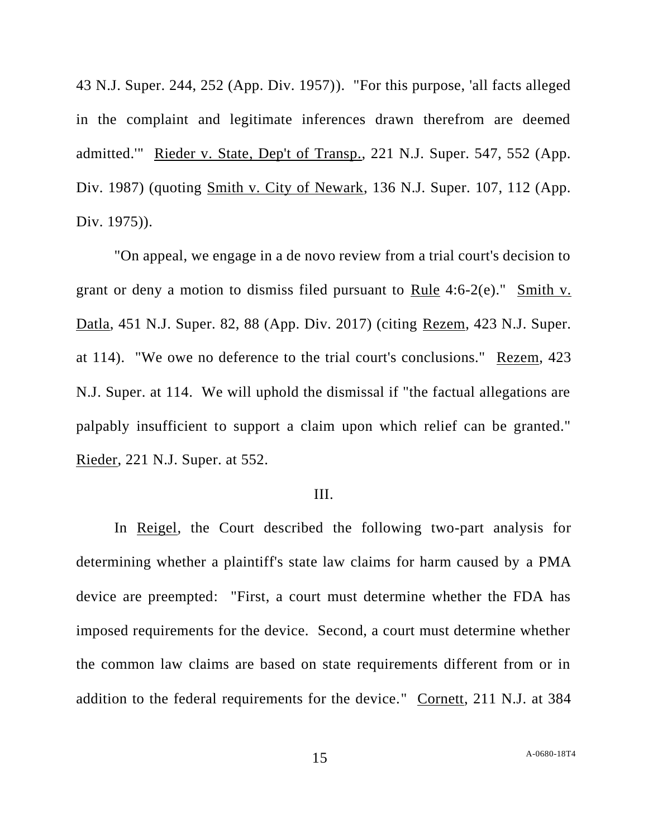43 N.J. Super. 244, 252 (App. Div. 1957)). "For this purpose, 'all facts alleged in the complaint and legitimate inferences drawn therefrom are deemed admitted.'" Rieder v. State, Dep't of Transp., 221 N.J. Super. 547, 552 (App. Div. 1987) (quoting Smith v. City of Newark, 136 N.J. Super. 107, 112 (App. Div. 1975)).

"On appeal, we engage in a de novo review from a trial court's decision to grant or deny a motion to dismiss filed pursuant to Rule 4:6-2(e)." Smith v. Datla, 451 N.J. Super. 82, 88 (App. Div. 2017) (citing Rezem, 423 N.J. Super. at 114). "We owe no deference to the trial court's conclusions." Rezem, 423 N.J. Super. at 114. We will uphold the dismissal if "the factual allegations are palpably insufficient to support a claim upon which relief can be granted." Rieder, 221 N.J. Super. at 552.

### III.

In Reigel, the Court described the following two-part analysis for determining whether a plaintiff's state law claims for harm caused by a PMA device are preempted: "First, a court must determine whether the FDA has imposed requirements for the device. Second, a court must determine whether the common law claims are based on state requirements different from or in addition to the federal requirements for the device." Cornett, 211 N.J. at 384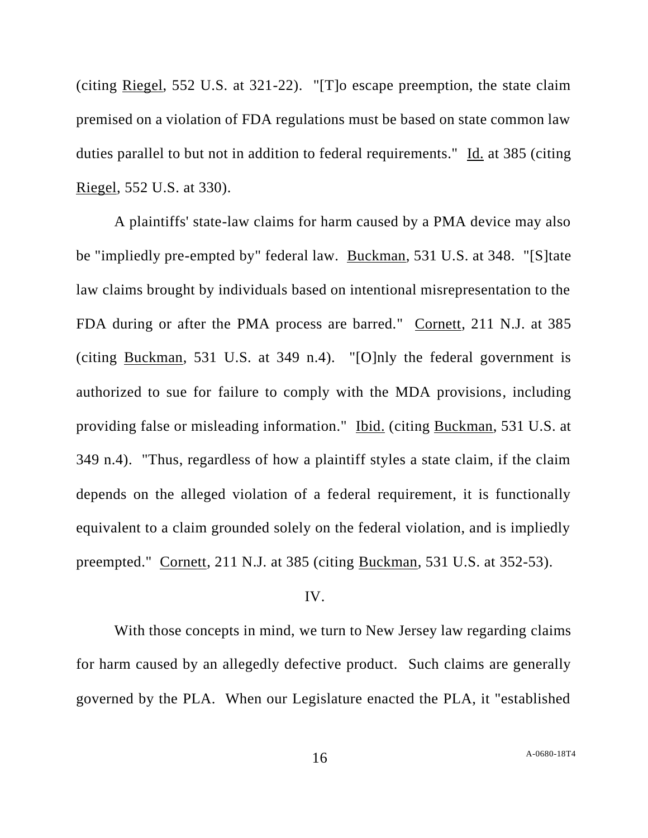(citing Riegel, 552 U.S. at 321-22). "[T]o escape preemption, the state claim premised on a violation of FDA regulations must be based on state common law duties parallel to but not in addition to federal requirements." Id. at 385 (citing Riegel, 552 U.S. at 330).

A plaintiffs' state-law claims for harm caused by a PMA device may also be "impliedly pre-empted by" federal law. Buckman, 531 U.S. at 348. "[S]tate law claims brought by individuals based on intentional misrepresentation to the FDA during or after the PMA process are barred." Cornett, 211 N.J. at 385 (citing Buckman, 531 U.S. at 349 n.4). "[O]nly the federal government is authorized to sue for failure to comply with the MDA provisions, including providing false or misleading information." Ibid. (citing Buckman, 531 U.S. at 349 n.4). "Thus, regardless of how a plaintiff styles a state claim, if the claim depends on the alleged violation of a federal requirement, it is functionally equivalent to a claim grounded solely on the federal violation, and is impliedly preempted." Cornett, 211 N.J. at 385 (citing Buckman, 531 U.S. at 352-53).

### IV.

With those concepts in mind, we turn to New Jersey law regarding claims for harm caused by an allegedly defective product. Such claims are generally governed by the PLA. When our Legislature enacted the PLA, it "established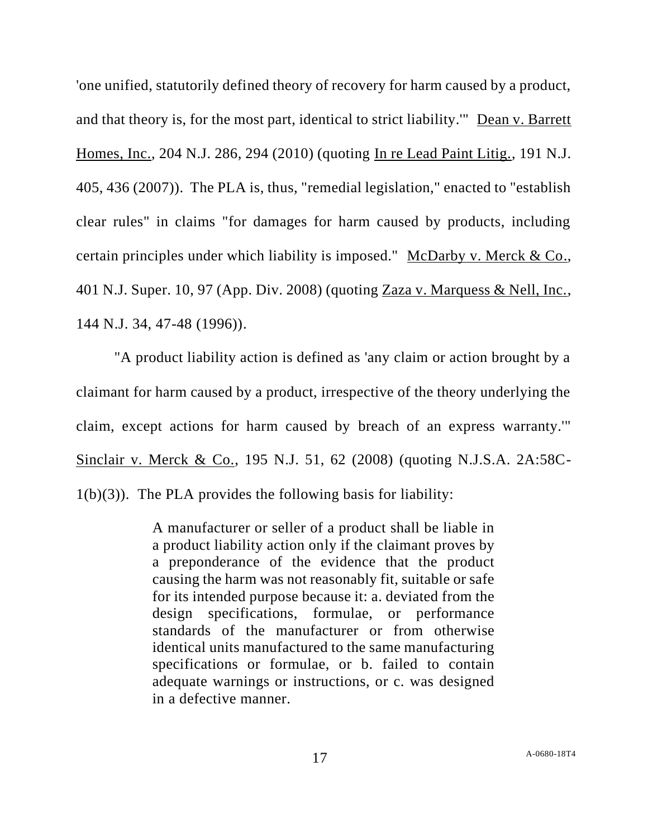'one unified, statutorily defined theory of recovery for harm caused by a product, and that theory is, for the most part, identical to strict liability.'" Dean v. Barrett Homes, Inc., 204 N.J. 286, 294 (2010) (quoting In re Lead Paint Litig., 191 N.J. 405, 436 (2007)). The PLA is, thus, "remedial legislation," enacted to "establish clear rules" in claims "for damages for harm caused by products, including certain principles under which liability is imposed." McDarby v. Merck & Co., 401 N.J. Super. 10, 97 (App. Div. 2008) (quoting Zaza v. Marquess & Nell, Inc., 144 N.J. 34, 47-48 (1996)).

"A product liability action is defined as 'any claim or action brought by a claimant for harm caused by a product, irrespective of the theory underlying the claim, except actions for harm caused by breach of an express warranty.'" Sinclair v. Merck & Co., 195 N.J. 51, 62 (2008) (quoting N.J.S.A. 2A:58C- $1(b)(3)$ . The PLA provides the following basis for liability:

> A manufacturer or seller of a product shall be liable in a product liability action only if the claimant proves by a preponderance of the evidence that the product causing the harm was not reasonably fit, suitable or safe for its intended purpose because it: a. deviated from the design specifications, formulae, or performance standards of the manufacturer or from otherwise identical units manufactured to the same manufacturing specifications or formulae, or b. failed to contain adequate warnings or instructions, or c. was designed in a defective manner.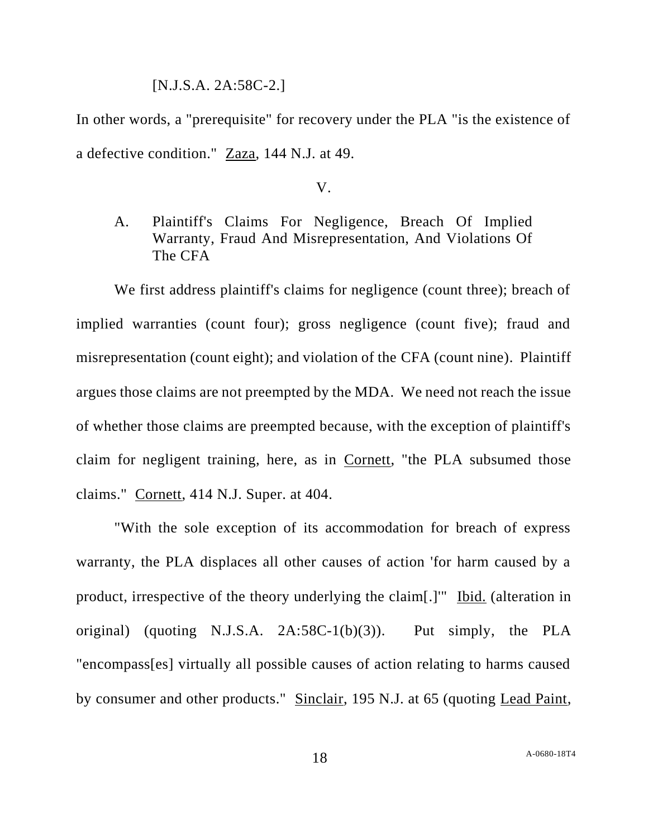#### [N.J.S.A. 2A:58C-2.]

In other words, a "prerequisite" for recovery under the PLA "is the existence of a defective condition." Zaza, 144 N.J. at 49.

V.

A. Plaintiff's Claims For Negligence, Breach Of Implied Warranty, Fraud And Misrepresentation, And Violations Of The CFA

We first address plaintiff's claims for negligence (count three); breach of implied warranties (count four); gross negligence (count five); fraud and misrepresentation (count eight); and violation of the CFA (count nine). Plaintiff argues those claims are not preempted by the MDA. We need not reach the issue of whether those claims are preempted because, with the exception of plaintiff's claim for negligent training, here, as in Cornett, "the PLA subsumed those claims." Cornett, 414 N.J. Super. at 404.

"With the sole exception of its accommodation for breach of express warranty, the PLA displaces all other causes of action 'for harm caused by a product, irrespective of the theory underlying the claim[.]'" Ibid. (alteration in original) (quoting N.J.S.A. 2A:58C-1(b)(3)). Put simply, the PLA "encompass[es] virtually all possible causes of action relating to harms caused by consumer and other products." Sinclair, 195 N.J. at 65 (quoting Lead Paint,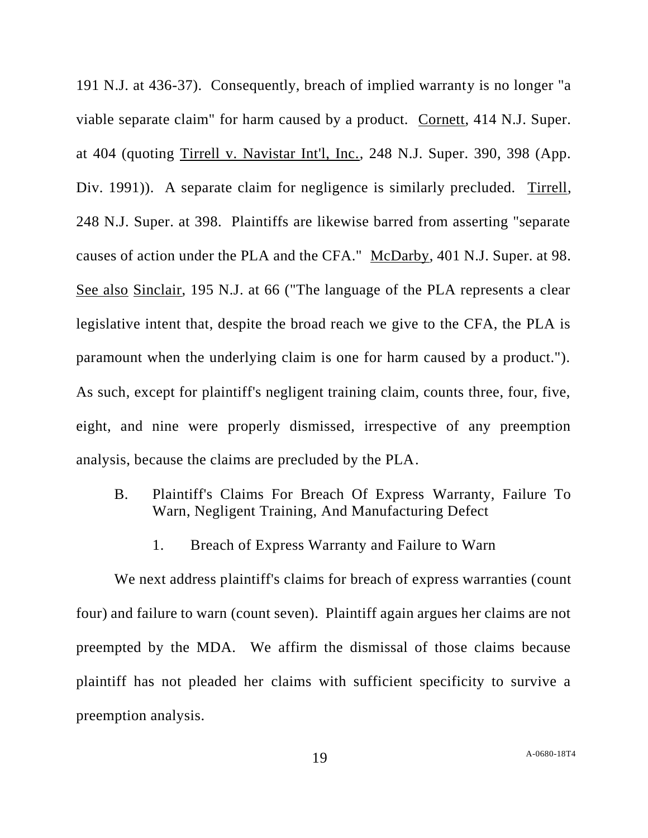191 N.J. at 436-37). Consequently, breach of implied warranty is no longer "a viable separate claim" for harm caused by a product. Cornett, 414 N.J. Super. at 404 (quoting Tirrell v. Navistar Int'l, Inc., 248 N.J. Super. 390, 398 (App. Div. 1991)). A separate claim for negligence is similarly precluded. Tirrell, 248 N.J. Super. at 398. Plaintiffs are likewise barred from asserting "separate causes of action under the PLA and the CFA." McDarby, 401 N.J. Super. at 98. See also Sinclair, 195 N.J. at 66 ("The language of the PLA represents a clear legislative intent that, despite the broad reach we give to the CFA, the PLA is paramount when the underlying claim is one for harm caused by a product."). As such, except for plaintiff's negligent training claim, counts three, four, five, eight, and nine were properly dismissed, irrespective of any preemption analysis, because the claims are precluded by the PLA.

- B. Plaintiff's Claims For Breach Of Express Warranty, Failure To Warn, Negligent Training, And Manufacturing Defect
	- 1. Breach of Express Warranty and Failure to Warn

We next address plaintiff's claims for breach of express warranties (count four) and failure to warn (count seven). Plaintiff again argues her claims are not preempted by the MDA. We affirm the dismissal of those claims because plaintiff has not pleaded her claims with sufficient specificity to survive a preemption analysis.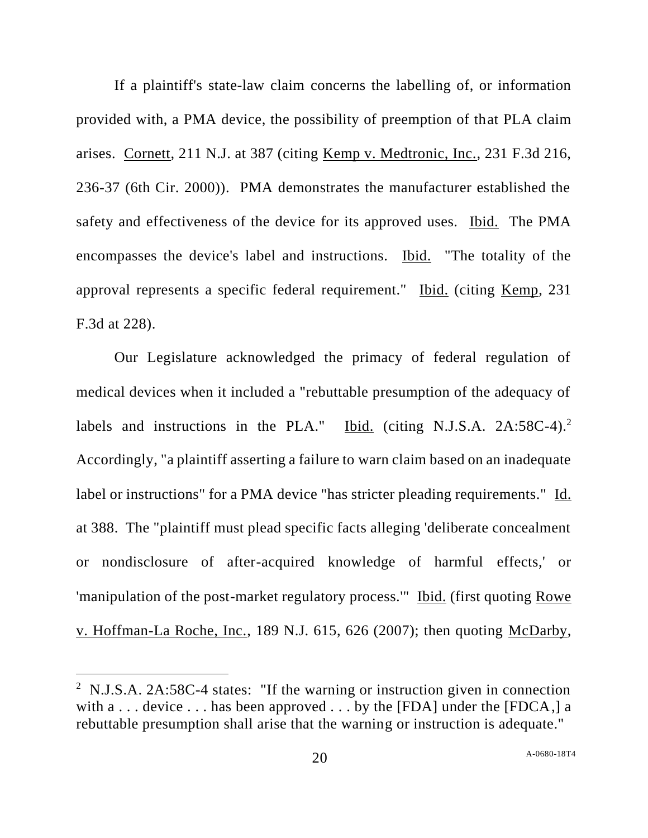If a plaintiff's state-law claim concerns the labelling of, or information provided with, a PMA device, the possibility of preemption of that PLA claim arises. Cornett, 211 N.J. at 387 (citing Kemp v. Medtronic, Inc., 231 F.3d 216, 236-37 (6th Cir. 2000)). PMA demonstrates the manufacturer established the safety and effectiveness of the device for its approved uses. Ibid. The PMA encompasses the device's label and instructions. Ibid. "The totality of the approval represents a specific federal requirement." Ibid. (citing Kemp, 231 F.3d at 228).

Our Legislature acknowledged the primacy of federal regulation of medical devices when it included a "rebuttable presumption of the adequacy of labels and instructions in the PLA." Ibid. (citing N.J.S.A.  $2A:58C-4$ ).<sup>2</sup> Accordingly, "a plaintiff asserting a failure to warn claim based on an inadequate label or instructions" for a PMA device "has stricter pleading requirements." Id. at 388. The "plaintiff must plead specific facts alleging 'deliberate concealment or nondisclosure of after-acquired knowledge of harmful effects,' or 'manipulation of the post-market regulatory process.'" Ibid. (first quoting Rowe v. Hoffman-La Roche, Inc., 189 N.J. 615, 626 (2007); then quoting McDarby,

<sup>&</sup>lt;sup>2</sup> N.J.S.A. 2A:58C-4 states: "If the warning or instruction given in connection with  $a \dots$  device  $\dots$  has been approved  $\dots$  by the [FDA] under the [FDCA,] a rebuttable presumption shall arise that the warning or instruction is adequate."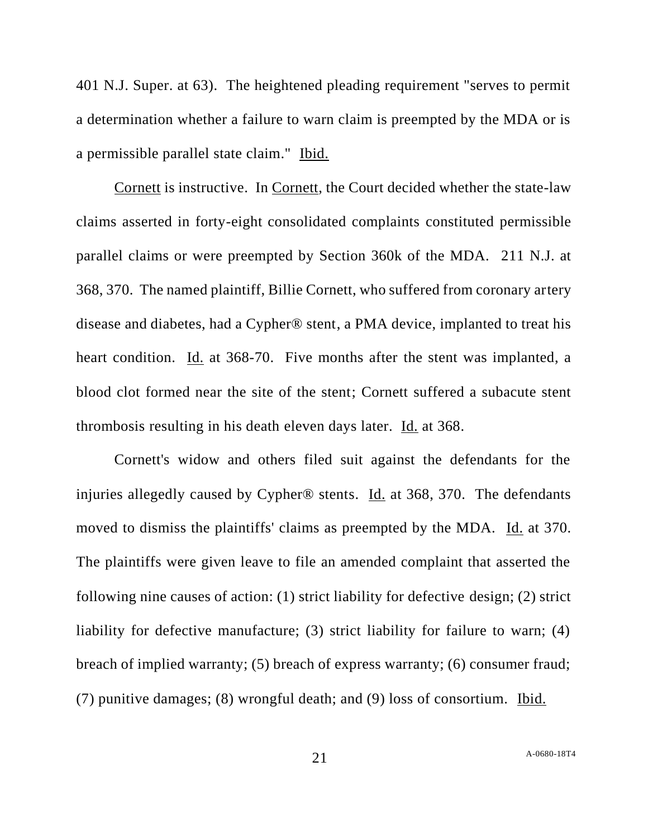401 N.J. Super. at 63). The heightened pleading requirement "serves to permit a determination whether a failure to warn claim is preempted by the MDA or is a permissible parallel state claim." Ibid.

Cornett is instructive. In Cornett, the Court decided whether the state-law claims asserted in forty-eight consolidated complaints constituted permissible parallel claims or were preempted by Section 360k of the MDA. 211 N.J. at 368, 370. The named plaintiff, Billie Cornett, who suffered from coronary artery disease and diabetes, had a Cypher® stent, a PMA device, implanted to treat his heart condition. Id. at 368-70. Five months after the stent was implanted, a blood clot formed near the site of the stent; Cornett suffered a subacute stent thrombosis resulting in his death eleven days later. Id. at 368.

Cornett's widow and others filed suit against the defendants for the injuries allegedly caused by Cypher® stents. Id. at 368, 370. The defendants moved to dismiss the plaintiffs' claims as preempted by the MDA. Id. at 370. The plaintiffs were given leave to file an amended complaint that asserted the following nine causes of action: (1) strict liability for defective design; (2) strict liability for defective manufacture; (3) strict liability for failure to warn; (4) breach of implied warranty; (5) breach of express warranty; (6) consumer fraud; (7) punitive damages; (8) wrongful death; and (9) loss of consortium. Ibid.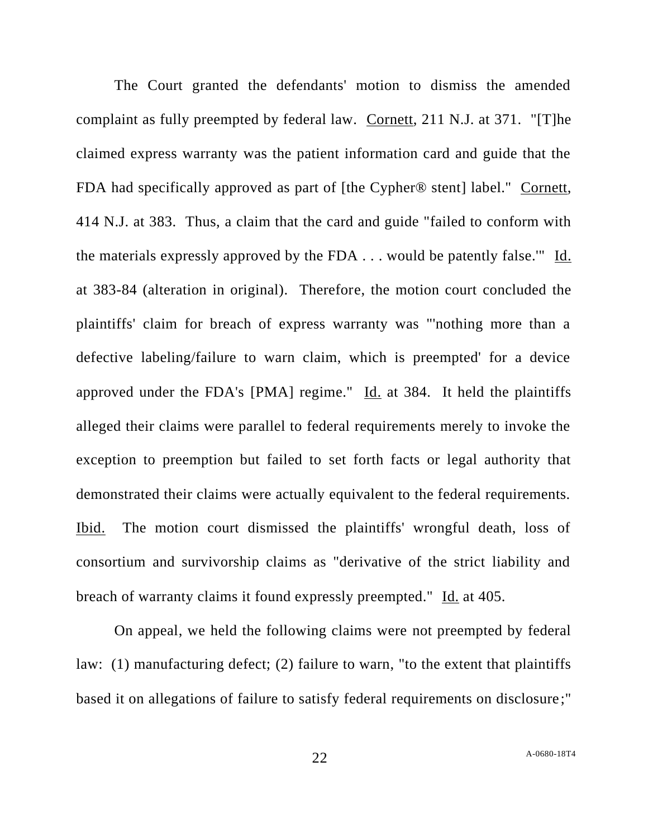The Court granted the defendants' motion to dismiss the amended complaint as fully preempted by federal law. Cornett, 211 N.J. at 371. "[T]he claimed express warranty was the patient information card and guide that the FDA had specifically approved as part of [the Cypher® stent] label." Cornett, 414 N.J. at 383. Thus, a claim that the card and guide "failed to conform with the materials expressly approved by the FDA . . . would be patently false.'" Id. at 383-84 (alteration in original). Therefore, the motion court concluded the plaintiffs' claim for breach of express warranty was "'nothing more than a defective labeling/failure to warn claim, which is preempted' for a device approved under the FDA's [PMA] regime." Id. at 384. It held the plaintiffs alleged their claims were parallel to federal requirements merely to invoke the exception to preemption but failed to set forth facts or legal authority that demonstrated their claims were actually equivalent to the federal requirements. Ibid. The motion court dismissed the plaintiffs' wrongful death, loss of consortium and survivorship claims as "derivative of the strict liability and breach of warranty claims it found expressly preempted." Id. at 405.

On appeal, we held the following claims were not preempted by federal law: (1) manufacturing defect; (2) failure to warn, "to the extent that plaintiffs based it on allegations of failure to satisfy federal requirements on disclosure;"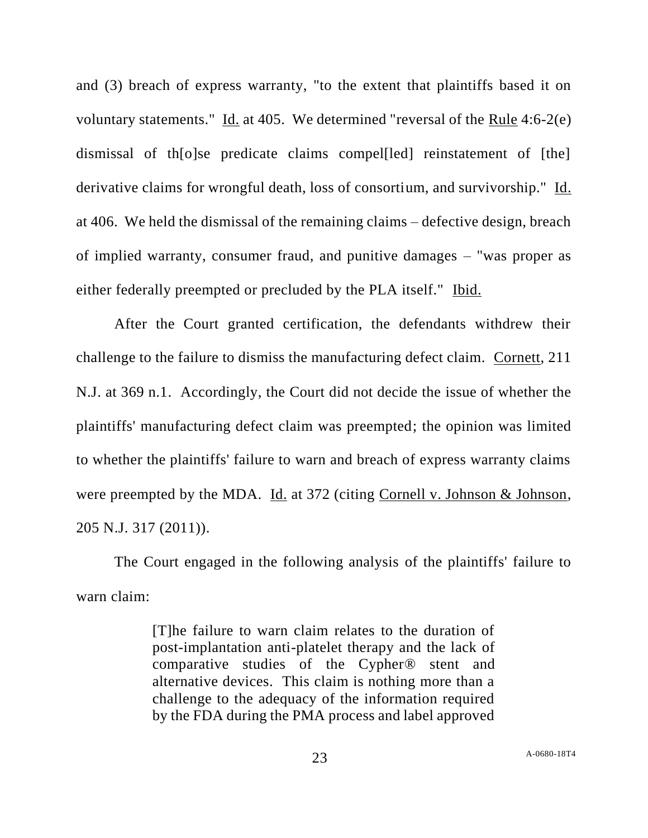and (3) breach of express warranty, "to the extent that plaintiffs based it on voluntary statements." Id. at 405. We determined "reversal of the Rule 4:6-2(e) dismissal of th[o]se predicate claims compel[led] reinstatement of [the] derivative claims for wrongful death, loss of consortium, and survivorship." Id. at 406. We held the dismissal of the remaining claims – defective design, breach of implied warranty, consumer fraud, and punitive damages – "was proper as either federally preempted or precluded by the PLA itself." Ibid.

After the Court granted certification, the defendants withdrew their challenge to the failure to dismiss the manufacturing defect claim. Cornett, 211 N.J. at 369 n.1. Accordingly, the Court did not decide the issue of whether the plaintiffs' manufacturing defect claim was preempted; the opinion was limited to whether the plaintiffs' failure to warn and breach of express warranty claims were preempted by the MDA. Id. at 372 (citing Cornell v. Johnson & Johnson, 205 N.J. 317 (2011)).

The Court engaged in the following analysis of the plaintiffs' failure to warn claim:

> [T]he failure to warn claim relates to the duration of post-implantation anti-platelet therapy and the lack of comparative studies of the Cypher® stent and alternative devices. This claim is nothing more than a challenge to the adequacy of the information required by the FDA during the PMA process and label approved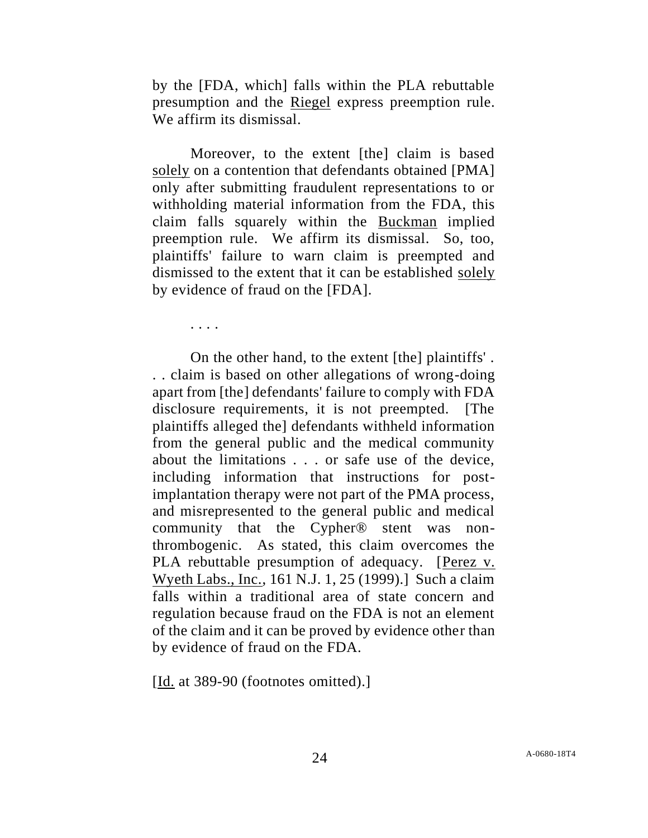by the [FDA, which] falls within the PLA rebuttable presumption and the Riegel express preemption rule. We affirm its dismissal.

Moreover, to the extent [the] claim is based solely on a contention that defendants obtained [PMA] only after submitting fraudulent representations to or withholding material information from the FDA, this claim falls squarely within the Buckman implied preemption rule. We affirm its dismissal. So, too, plaintiffs' failure to warn claim is preempted and dismissed to the extent that it can be established solely by evidence of fraud on the [FDA].

. . . .

On the other hand, to the extent [the] plaintiffs' . . . claim is based on other allegations of wrong-doing apart from [the] defendants' failure to comply with FDA disclosure requirements, it is not preempted. [The plaintiffs alleged the] defendants withheld information from the general public and the medical community about the limitations . . . or safe use of the device, including information that instructions for postimplantation therapy were not part of the PMA process, and misrepresented to the general public and medical community that the Cypher® stent was nonthrombogenic. As stated, this claim overcomes the PLA rebuttable presumption of adequacy. [Perez v. Wyeth Labs., Inc., 161 N.J. 1, 25 (1999).] Such a claim falls within a traditional area of state concern and regulation because fraud on the FDA is not an element of the claim and it can be proved by evidence other than by evidence of fraud on the FDA.

[Id. at 389-90 (footnotes omitted).]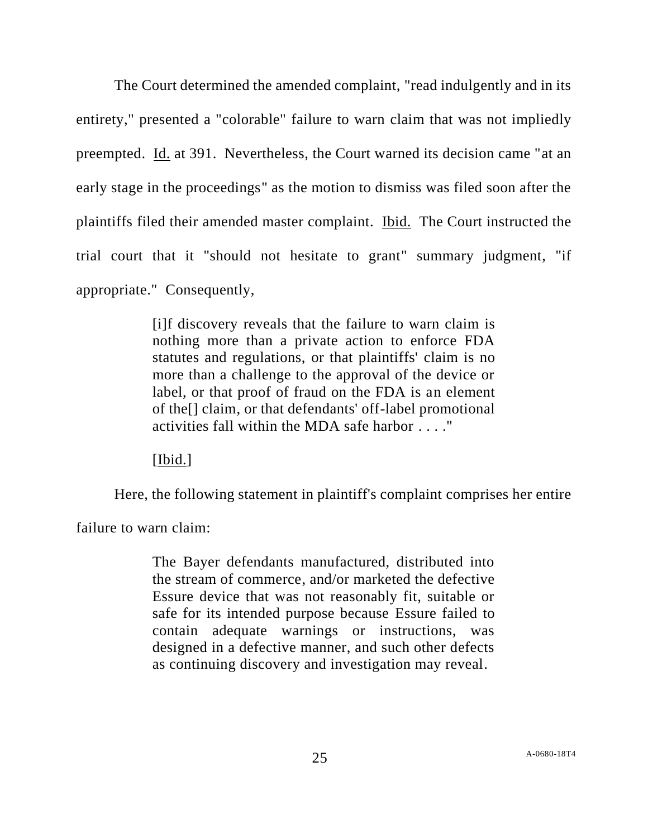The Court determined the amended complaint, "read indulgently and in its entirety," presented a "colorable" failure to warn claim that was not impliedly preempted. Id. at 391. Nevertheless, the Court warned its decision came "at an early stage in the proceedings" as the motion to dismiss was filed soon after the plaintiffs filed their amended master complaint. Ibid. The Court instructed the trial court that it "should not hesitate to grant" summary judgment, "if appropriate." Consequently,

> [i]f discovery reveals that the failure to warn claim is nothing more than a private action to enforce FDA statutes and regulations, or that plaintiffs' claim is no more than a challenge to the approval of the device or label, or that proof of fraud on the FDA is an element of the[] claim, or that defendants' off-label promotional activities fall within the MDA safe harbor . . . ."

[Ibid.]

Here, the following statement in plaintiff's complaint comprises her entire

failure to warn claim:

The Bayer defendants manufactured, distributed into the stream of commerce, and/or marketed the defective Essure device that was not reasonably fit, suitable or safe for its intended purpose because Essure failed to contain adequate warnings or instructions, was designed in a defective manner, and such other defects as continuing discovery and investigation may reveal.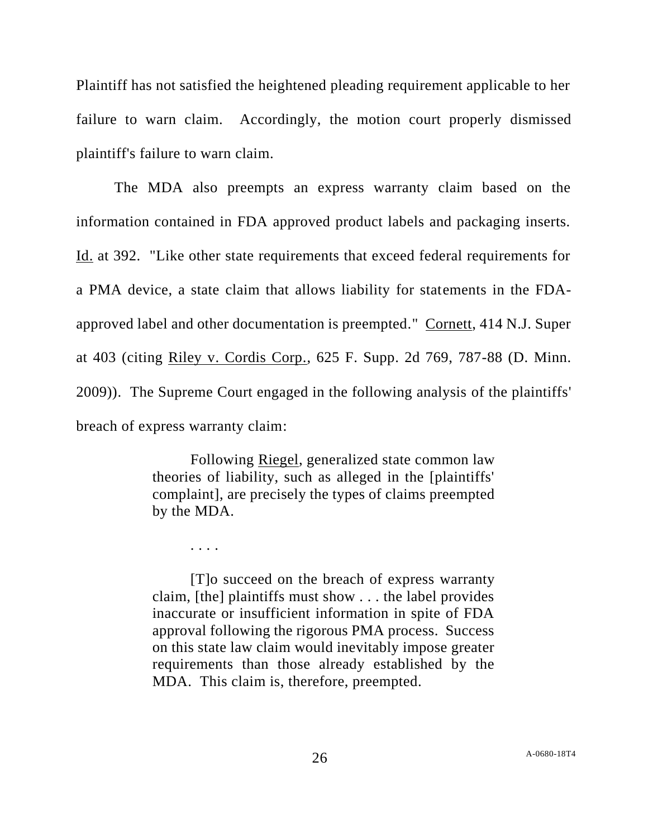Plaintiff has not satisfied the heightened pleading requirement applicable to her failure to warn claim. Accordingly, the motion court properly dismissed plaintiff's failure to warn claim.

The MDA also preempts an express warranty claim based on the information contained in FDA approved product labels and packaging inserts. Id. at 392. "Like other state requirements that exceed federal requirements for a PMA device, a state claim that allows liability for statements in the FDAapproved label and other documentation is preempted." Cornett, 414 N.J. Super at 403 (citing Riley v. Cordis Corp., 625 F. Supp. 2d 769, 787-88 (D. Minn. 2009)). The Supreme Court engaged in the following analysis of the plaintiffs' breach of express warranty claim:

> Following Riegel, generalized state common law theories of liability, such as alleged in the [plaintiffs' complaint], are precisely the types of claims preempted by the MDA.

> > . . . .

[T]o succeed on the breach of express warranty claim, [the] plaintiffs must show . . . the label provides inaccurate or insufficient information in spite of FDA approval following the rigorous PMA process. Success on this state law claim would inevitably impose greater requirements than those already established by the MDA. This claim is, therefore, preempted.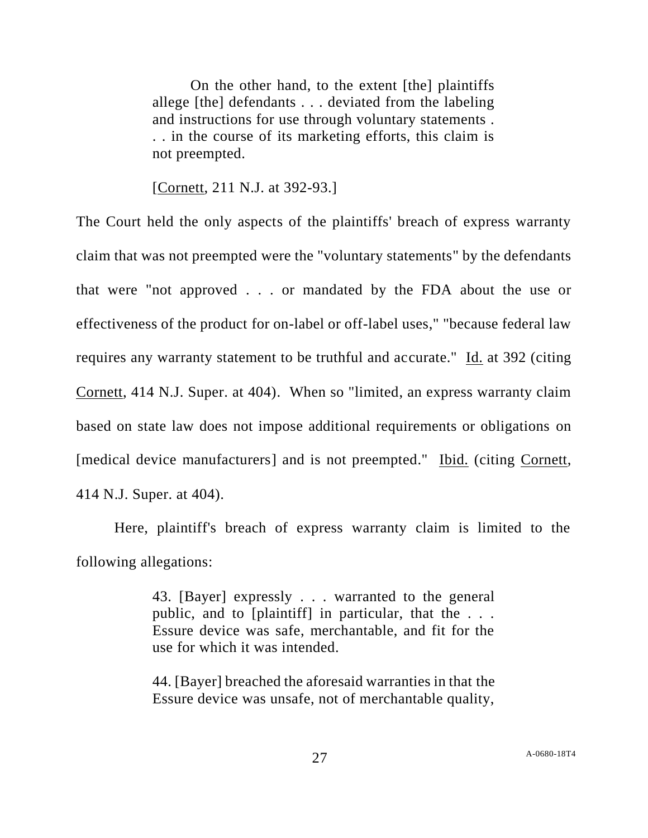On the other hand, to the extent [the] plaintiffs allege [the] defendants . . . deviated from the labeling and instructions for use through voluntary statements . . . in the course of its marketing efforts, this claim is not preempted.

[Cornett, 211 N.J. at 392-93.]

The Court held the only aspects of the plaintiffs' breach of express warranty claim that was not preempted were the "voluntary statements" by the defendants that were "not approved . . . or mandated by the FDA about the use or effectiveness of the product for on-label or off-label uses," "because federal law requires any warranty statement to be truthful and accurate." Id. at 392 (citing Cornett, 414 N.J. Super. at 404). When so "limited, an express warranty claim based on state law does not impose additional requirements or obligations on [medical device manufacturers] and is not preempted." Ibid. (citing Cornett, 414 N.J. Super. at 404).

Here, plaintiff's breach of express warranty claim is limited to the following allegations:

> 43. [Bayer] expressly . . . warranted to the general public, and to [plaintiff] in particular, that the . . . Essure device was safe, merchantable, and fit for the use for which it was intended.

> 44. [Bayer] breached the aforesaid warranties in that the Essure device was unsafe, not of merchantable quality,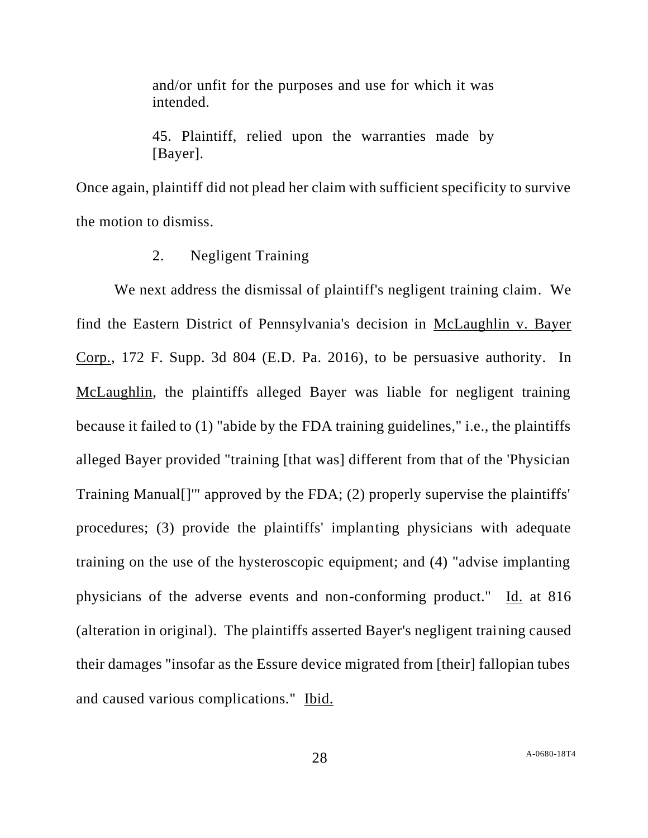and/or unfit for the purposes and use for which it was intended.

45. Plaintiff, relied upon the warranties made by [Bayer].

Once again, plaintiff did not plead her claim with sufficient specificity to survive the motion to dismiss.

2. Negligent Training

We next address the dismissal of plaintiff's negligent training claim. We find the Eastern District of Pennsylvania's decision in McLaughlin v. Bayer Corp., 172 F. Supp. 3d 804 (E.D. Pa. 2016), to be persuasive authority. In McLaughlin, the plaintiffs alleged Bayer was liable for negligent training because it failed to (1) "abide by the FDA training guidelines," i.e., the plaintiffs alleged Bayer provided "training [that was] different from that of the 'Physician Training Manual[]'" approved by the FDA; (2) properly supervise the plaintiffs' procedures; (3) provide the plaintiffs' implanting physicians with adequate training on the use of the hysteroscopic equipment; and (4) "advise implanting physicians of the adverse events and non-conforming product." Id. at 816 (alteration in original). The plaintiffs asserted Bayer's negligent training caused their damages "insofar as the Essure device migrated from [their] fallopian tubes and caused various complications." Ibid.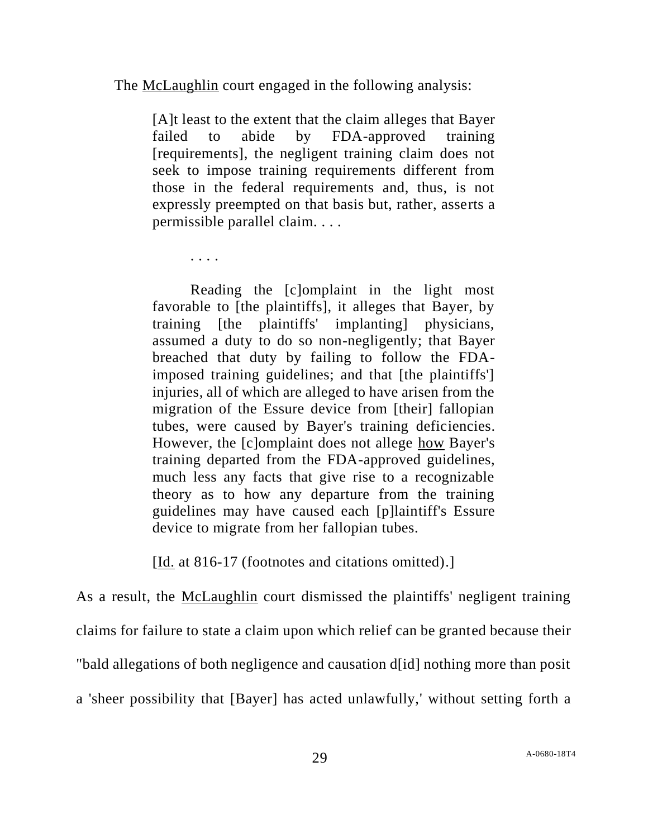The McLaughlin court engaged in the following analysis:

[A]t least to the extent that the claim alleges that Bayer failed to abide by FDA-approved training [requirements], the negligent training claim does not seek to impose training requirements different from those in the federal requirements and, thus, is not expressly preempted on that basis but, rather, asserts a permissible parallel claim. . . .

. . . .

Reading the [c]omplaint in the light most favorable to [the plaintiffs], it alleges that Bayer, by training [the plaintiffs' implanting] physicians, assumed a duty to do so non-negligently; that Bayer breached that duty by failing to follow the FDAimposed training guidelines; and that [the plaintiffs'] injuries, all of which are alleged to have arisen from the migration of the Essure device from [their] fallopian tubes, were caused by Bayer's training deficiencies. However, the [c]omplaint does not allege how Bayer's training departed from the FDA-approved guidelines, much less any facts that give rise to a recognizable theory as to how any departure from the training guidelines may have caused each [p]laintiff's Essure device to migrate from her fallopian tubes.

[Id. at 816-17 (footnotes and citations omitted).]

As a result, the <u>McLaughlin</u> court dismissed the plaintiffs' negligent training claims for failure to state a claim upon which relief can be granted because their "bald allegations of both negligence and causation d[id] nothing more than posit a 'sheer possibility that [Bayer] has acted unlawfully,' without setting forth a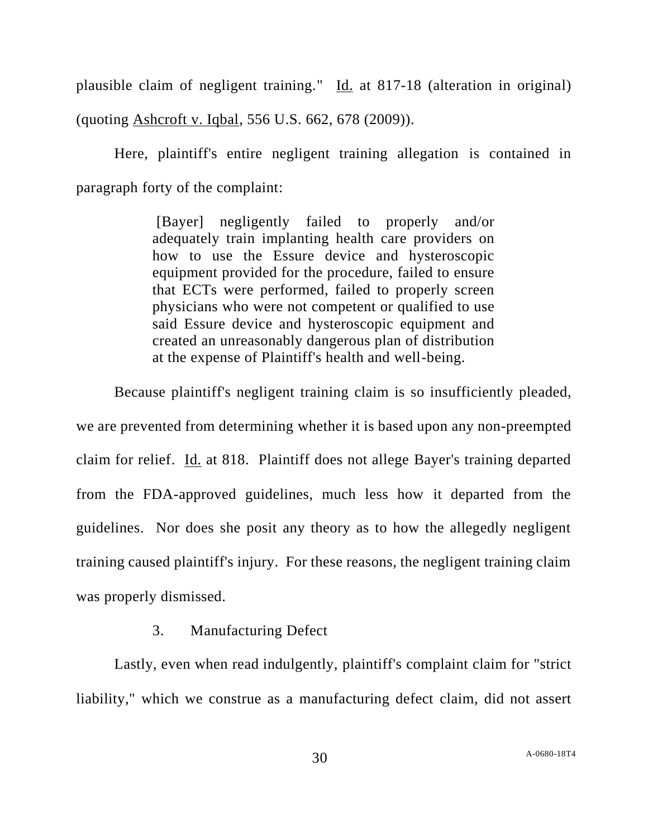plausible claim of negligent training." Id. at 817-18 (alteration in original) (quoting Ashcroft v. Iqbal, 556 U.S. 662, 678 (2009)).

Here, plaintiff's entire negligent training allegation is contained in paragraph forty of the complaint:

> [Bayer] negligently failed to properly and/or adequately train implanting health care providers on how to use the Essure device and hysteroscopic equipment provided for the procedure, failed to ensure that ECTs were performed, failed to properly screen physicians who were not competent or qualified to use said Essure device and hysteroscopic equipment and created an unreasonably dangerous plan of distribution at the expense of Plaintiff's health and well-being.

Because plaintiff's negligent training claim is so insufficiently pleaded, we are prevented from determining whether it is based upon any non-preempted claim for relief. Id. at 818. Plaintiff does not allege Bayer's training departed from the FDA-approved guidelines, much less how it departed from the guidelines. Nor does she posit any theory as to how the allegedly negligent training caused plaintiff's injury. For these reasons, the negligent training claim was properly dismissed.

# 3. Manufacturing Defect

Lastly, even when read indulgently, plaintiff's complaint claim for "strict liability," which we construe as a manufacturing defect claim, did not assert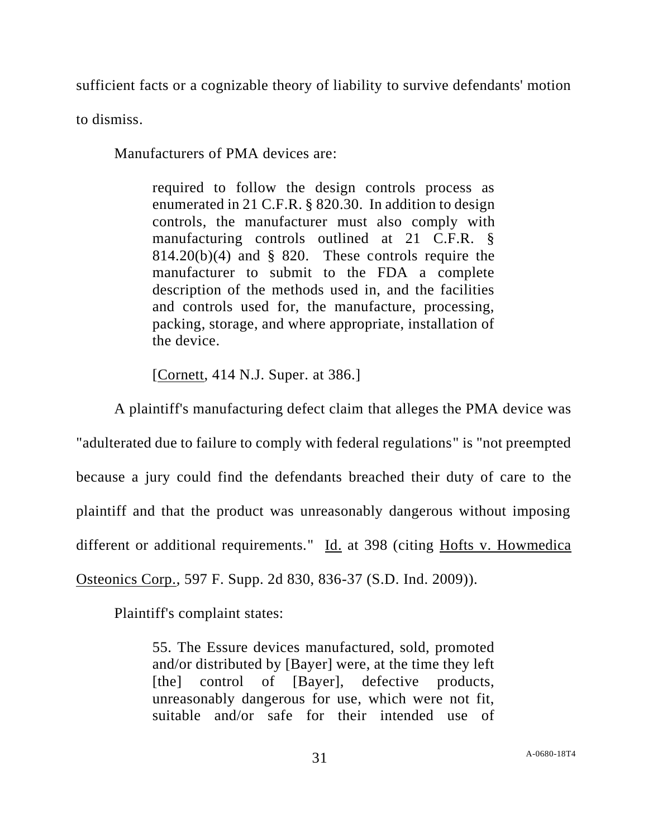sufficient facts or a cognizable theory of liability to survive defendants' motion

to dismiss.

Manufacturers of PMA devices are:

required to follow the design controls process as enumerated in 21 C.F.R. § 820.30. In addition to design controls, the manufacturer must also comply with manufacturing controls outlined at 21 C.F.R. §  $814.20(b)(4)$  and § 820. These controls require the manufacturer to submit to the FDA a complete description of the methods used in, and the facilities and controls used for, the manufacture, processing, packing, storage, and where appropriate, installation of the device.

[Cornett, 414 N.J. Super. at 386.]

A plaintiff's manufacturing defect claim that alleges the PMA device was "adulterated due to failure to comply with federal regulations" is "not preempted because a jury could find the defendants breached their duty of care to the plaintiff and that the product was unreasonably dangerous without imposing different or additional requirements." Id. at 398 (citing Hofts v. Howmedica Osteonics Corp., 597 F. Supp. 2d 830, 836-37 (S.D. Ind. 2009)).

Plaintiff's complaint states:

55. The Essure devices manufactured, sold, promoted and/or distributed by [Bayer] were, at the time they left [the] control of [Bayer], defective products, unreasonably dangerous for use, which were not fit, suitable and/or safe for their intended use of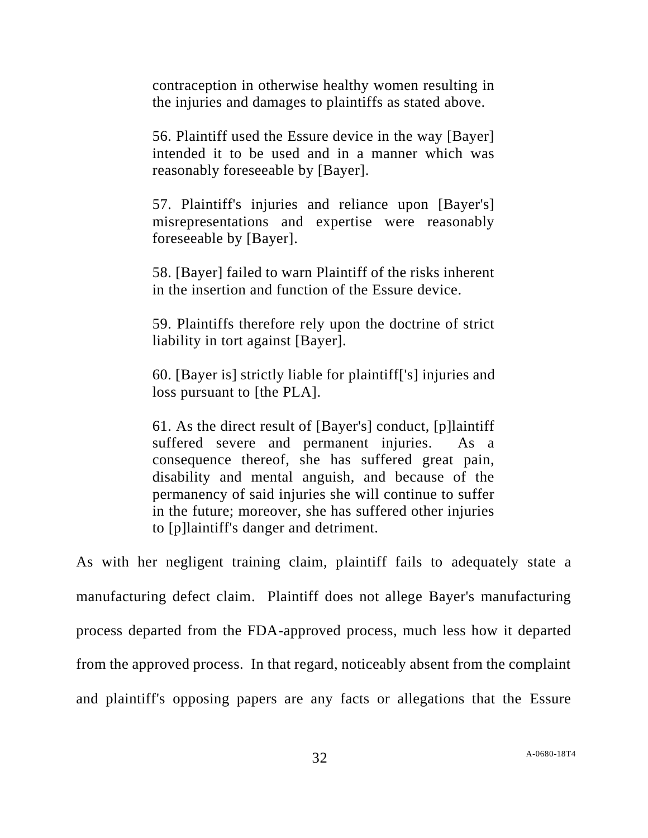contraception in otherwise healthy women resulting in the injuries and damages to plaintiffs as stated above.

56. Plaintiff used the Essure device in the way [Bayer] intended it to be used and in a manner which was reasonably foreseeable by [Bayer].

57. Plaintiff's injuries and reliance upon [Bayer's] misrepresentations and expertise were reasonably foreseeable by [Bayer].

58. [Bayer] failed to warn Plaintiff of the risks inherent in the insertion and function of the Essure device.

59. Plaintiffs therefore rely upon the doctrine of strict liability in tort against [Bayer].

60. [Bayer is] strictly liable for plaintiff['s] injuries and loss pursuant to [the PLA].

61. As the direct result of [Bayer's] conduct, [p]laintiff suffered severe and permanent injuries. As a consequence thereof, she has suffered great pain, disability and mental anguish, and because of the permanency of said injuries she will continue to suffer in the future; moreover, she has suffered other injuries to [p]laintiff's danger and detriment.

As with her negligent training claim, plaintiff fails to adequately state a manufacturing defect claim. Plaintiff does not allege Bayer's manufacturing process departed from the FDA-approved process, much less how it departed from the approved process. In that regard, noticeably absent from the complaint and plaintiff's opposing papers are any facts or allegations that the Essure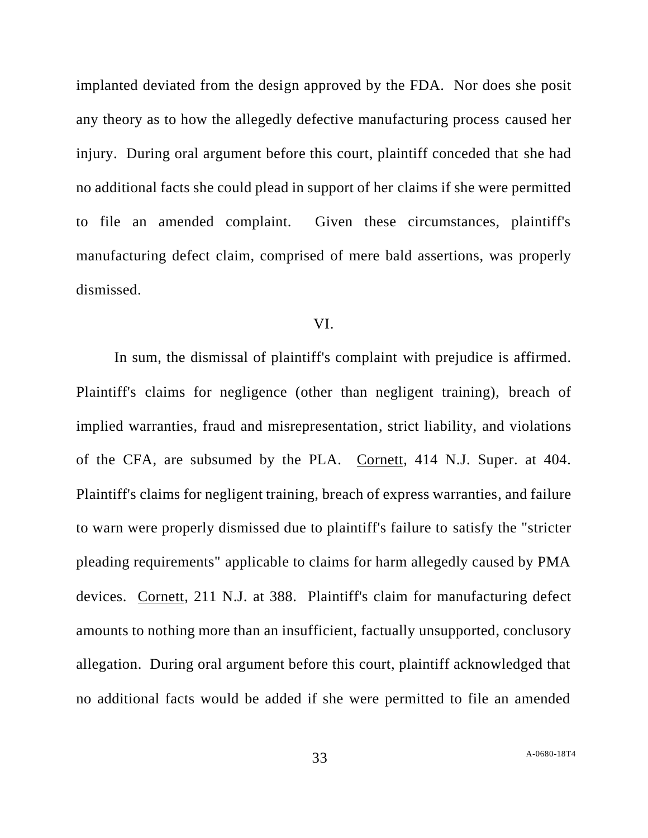implanted deviated from the design approved by the FDA. Nor does she posit any theory as to how the allegedly defective manufacturing process caused her injury. During oral argument before this court, plaintiff conceded that she had no additional facts she could plead in support of her claims if she were permitted to file an amended complaint. Given these circumstances, plaintiff's manufacturing defect claim, comprised of mere bald assertions, was properly dismissed.

#### VI.

In sum, the dismissal of plaintiff's complaint with prejudice is affirmed. Plaintiff's claims for negligence (other than negligent training), breach of implied warranties, fraud and misrepresentation, strict liability, and violations of the CFA, are subsumed by the PLA. Cornett, 414 N.J. Super. at 404. Plaintiff's claims for negligent training, breach of express warranties, and failure to warn were properly dismissed due to plaintiff's failure to satisfy the "stricter pleading requirements" applicable to claims for harm allegedly caused by PMA devices. Cornett, 211 N.J. at 388. Plaintiff's claim for manufacturing defect amounts to nothing more than an insufficient, factually unsupported, conclusory allegation. During oral argument before this court, plaintiff acknowledged that no additional facts would be added if she were permitted to file an amended